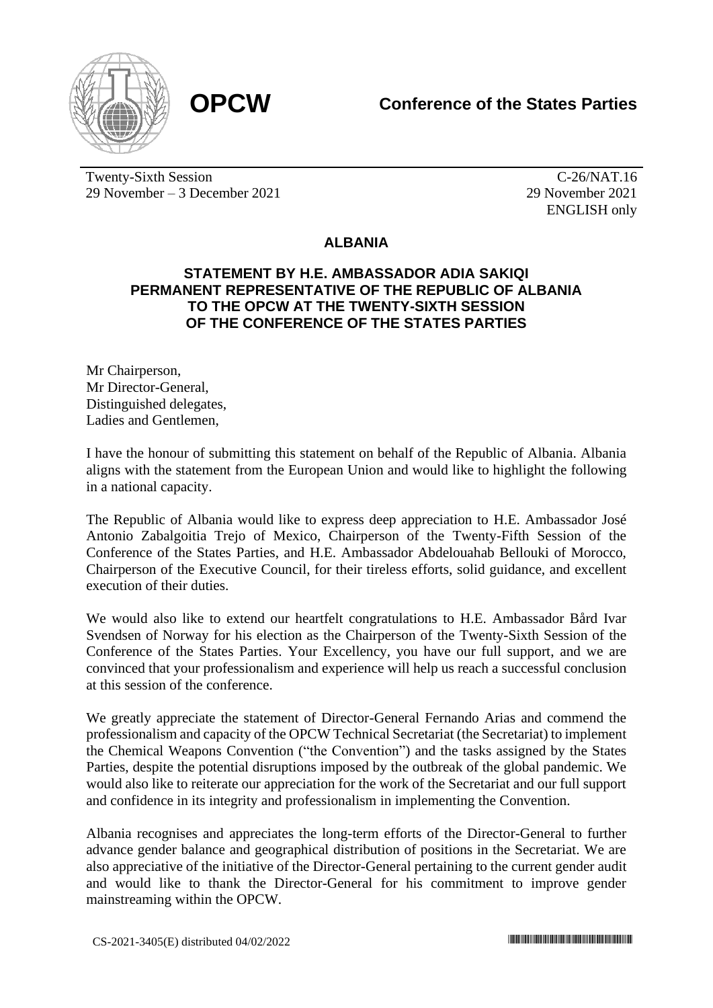



Twenty-Sixth Session 29 November – 3 December 2021

C-26/NAT.16 29 November 2021 ENGLISH only

## **ALBANIA**

## **STATEMENT BY H.E. AMBASSADOR ADIA SAKIQI PERMANENT REPRESENTATIVE OF THE REPUBLIC OF ALBANIA TO THE OPCW AT THE TWENTY-SIXTH SESSION OF THE CONFERENCE OF THE STATES PARTIES**

Mr Chairperson, Mr Director-General, Distinguished delegates, Ladies and Gentlemen,

I have the honour of submitting this statement on behalf of the Republic of Albania. Albania aligns with the statement from the European Union and would like to highlight the following in a national capacity.

The Republic of Albania would like to express deep appreciation to H.E. Ambassador José Antonio Zabalgoitia Trejo of Mexico, Chairperson of the Twenty-Fifth Session of the Conference of the States Parties, and H.E. Ambassador Abdelouahab Bellouki of Morocco, Chairperson of the Executive Council, for their tireless efforts, solid guidance, and excellent execution of their duties.

We would also like to extend our heartfelt congratulations to H.E. Ambassador Bård Ivar Svendsen of Norway for his election as the Chairperson of the Twenty-Sixth Session of the Conference of the States Parties. Your Excellency, you have our full support, and we are convinced that your professionalism and experience will help us reach a successful conclusion at this session of the conference.

We greatly appreciate the statement of Director-General Fernando Arias and commend the professionalism and capacity of the OPCW Technical Secretariat (the Secretariat) to implement the Chemical Weapons Convention ("the Convention") and the tasks assigned by the States Parties, despite the potential disruptions imposed by the outbreak of the global pandemic. We would also like to reiterate our appreciation for the work of the Secretariat and our full support and confidence in its integrity and professionalism in implementing the Convention.

Albania recognises and appreciates the long-term efforts of the Director-General to further advance gender balance and geographical distribution of positions in the Secretariat. We are also appreciative of the initiative of the Director-General pertaining to the current gender audit and would like to thank the Director-General for his commitment to improve gender mainstreaming within the OPCW.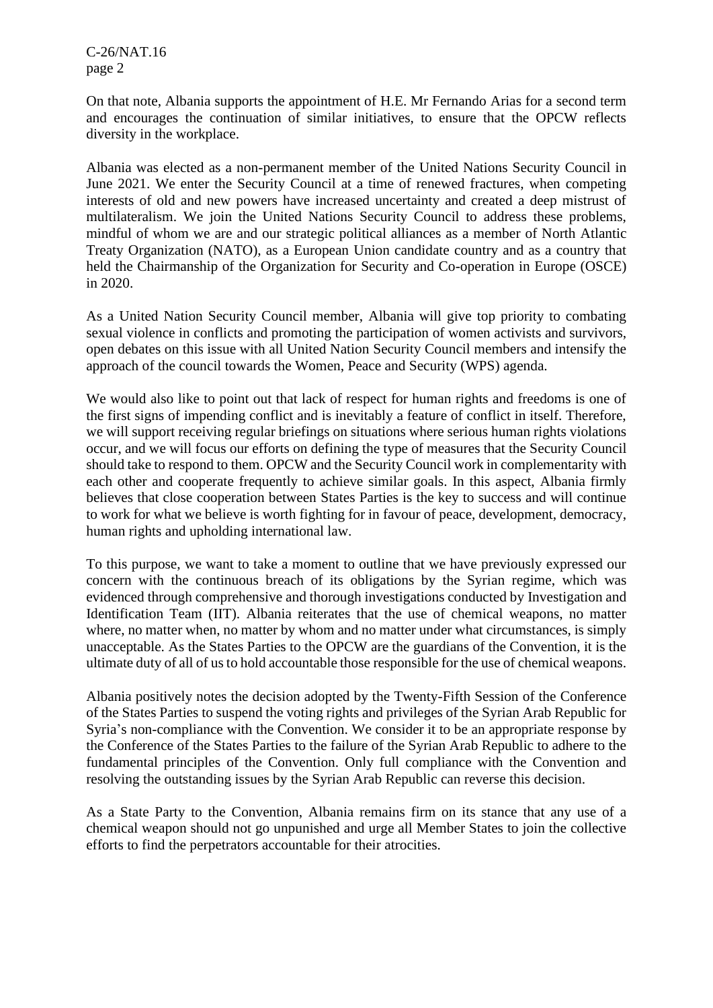C-26/NAT.16 page 2

On that note, Albania supports the appointment of H.E. Mr Fernando Arias for a second term and encourages the continuation of similar initiatives, to ensure that the OPCW reflects diversity in the workplace.

Albania was elected as a non-permanent member of the United Nations Security Council in June 2021. We enter the Security Council at a time of renewed fractures, when competing interests of old and new powers have increased uncertainty and created a deep mistrust of multilateralism. We join the United Nations Security Council to address these problems, mindful of whom we are and our strategic political alliances as a member of North Atlantic Treaty Organization (NATO), as a European Union candidate country and as a country that held the Chairmanship of the Organization for Security and Co-operation in Europe (OSCE) in 2020.

As a United Nation Security Council member, Albania will give top priority to combating sexual violence in conflicts and promoting the participation of women activists and survivors, open debates on this issue with all United Nation Security Council members and intensify the approach of the council towards the Women, Peace and Security (WPS) agenda.

We would also like to point out that lack of respect for human rights and freedoms is one of the first signs of impending conflict and is inevitably a feature of conflict in itself. Therefore, we will support receiving regular briefings on situations where serious human rights violations occur, and we will focus our efforts on defining the type of measures that the Security Council should take to respond to them. OPCW and the Security Council work in complementarity with each other and cooperate frequently to achieve similar goals. In this aspect, Albania firmly believes that close cooperation between States Parties is the key to success and will continue to work for what we believe is worth fighting for in favour of peace, development, democracy, human rights and upholding international law.

To this purpose, we want to take a moment to outline that we have previously expressed our concern with the continuous breach of its obligations by the Syrian regime, which was evidenced through comprehensive and thorough investigations conducted by Investigation and Identification Team (IIT). Albania reiterates that the use of chemical weapons, no matter where, no matter when, no matter by whom and no matter under what circumstances, is simply unacceptable. As the States Parties to the OPCW are the guardians of the Convention, it is the ultimate duty of all of us to hold accountable those responsible for the use of chemical weapons.

Albania positively notes the decision adopted by the Twenty-Fifth Session of the Conference of the States Parties to suspend the voting rights and privileges of the Syrian Arab Republic for Syria's non-compliance with the Convention. We consider it to be an appropriate response by the Conference of the States Parties to the failure of the Syrian Arab Republic to adhere to the fundamental principles of the Convention. Only full compliance with the Convention and resolving the outstanding issues by the Syrian Arab Republic can reverse this decision.

As a State Party to the Convention, Albania remains firm on its stance that any use of a chemical weapon should not go unpunished and urge all Member States to join the collective efforts to find the perpetrators accountable for their atrocities.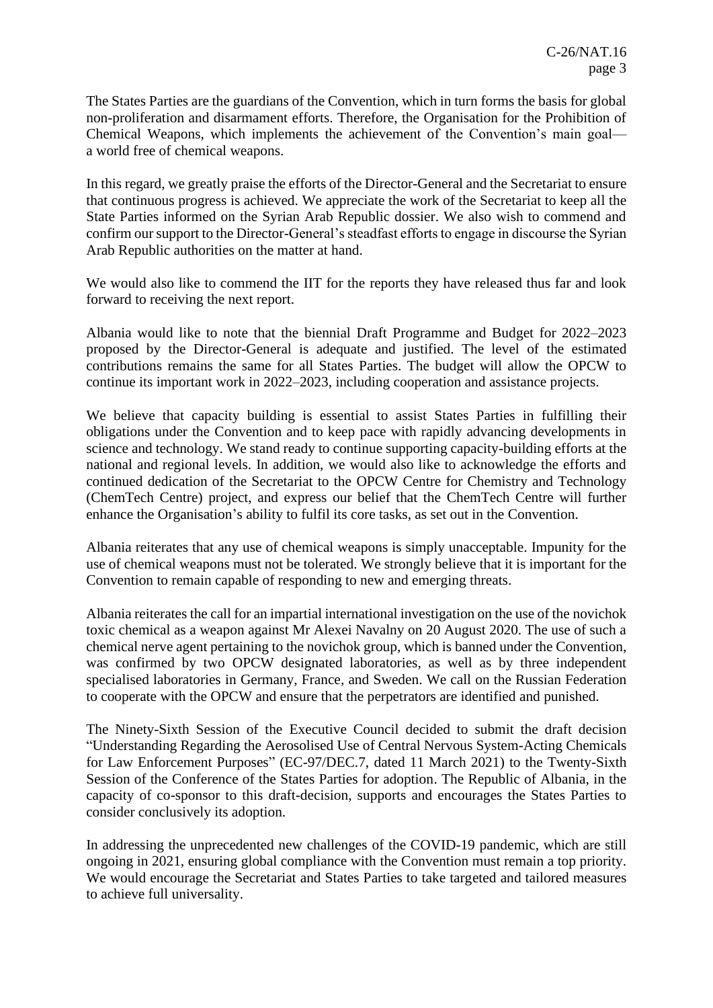The States Parties are the guardians of the Convention, which in turn forms the basis for global non-proliferation and disarmament efforts. Therefore, the Organisation for the Prohibition of Chemical Weapons, which implements the achievement of the Convention's main goal a world free of chemical weapons.

In this regard, we greatly praise the efforts of the Director-General and the Secretariat to ensure that continuous progress is achieved. We appreciate the work of the Secretariat to keep all the State Parties informed on the Syrian Arab Republic dossier. We also wish to commend and confirm our support to the Director-General's steadfast efforts to engage in discourse the Syrian Arab Republic authorities on the matter at hand.

We would also like to commend the IIT for the reports they have released thus far and look forward to receiving the next report.

Albania would like to note that the biennial Draft Programme and Budget for 2022–2023 proposed by the Director-General is adequate and justified. The level of the estimated contributions remains the same for all States Parties. The budget will allow the OPCW to continue its important work in 2022–2023, including cooperation and assistance projects.

We believe that capacity building is essential to assist States Parties in fulfilling their obligations under the Convention and to keep pace with rapidly advancing developments in science and technology. We stand ready to continue supporting capacity-building efforts at the national and regional levels. In addition, we would also like to acknowledge the efforts and continued dedication of the Secretariat to the OPCW Centre for Chemistry and Technology (ChemTech Centre) project, and express our belief that the ChemTech Centre will further enhance the Organisation's ability to fulfil its core tasks, as set out in the Convention.

Albania reiterates that any use of chemical weapons is simply unacceptable. Impunity for the use of chemical weapons must not be tolerated. We strongly believe that it is important for the Convention to remain capable of responding to new and emerging threats.

Albania reiterates the call for an impartial international investigation on the use of the novichok toxic chemical as a weapon against Mr Alexei Navalny on 20 August 2020. The use of such a chemical nerve agent pertaining to the novichok group, which is banned under the Convention, was confirmed by two OPCW designated laboratories, as well as by three independent specialised laboratories in Germany, France, and Sweden. We call on the Russian Federation to cooperate with the OPCW and ensure that the perpetrators are identified and punished.

The Ninety-Sixth Session of the Executive Council decided to submit the draft decision "Understanding Regarding the Aerosolised Use of Central Nervous System-Acting Chemicals for Law Enforcement Purposes" (EC-97/DEC.7, dated 11 March 2021) to the Twenty-Sixth Session of the Conference of the States Parties for adoption. The Republic of Albania, in the capacity of co-sponsor to this draft-decision, supports and encourages the States Parties to consider conclusively its adoption.

In addressing the unprecedented new challenges of the COVID-19 pandemic, which are still ongoing in 2021, ensuring global compliance with the Convention must remain a top priority. We would encourage the Secretariat and States Parties to take targeted and tailored measures to achieve full universality.